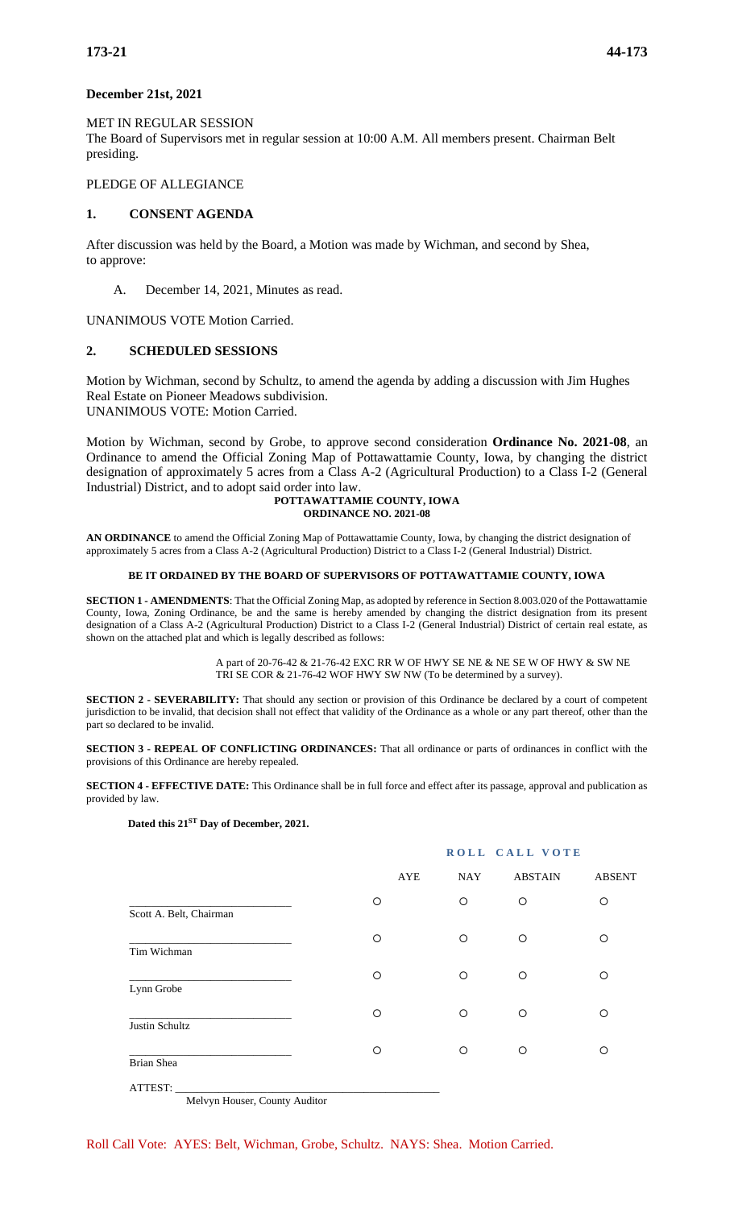### **December 21st, 2021**

### MET IN REGULAR SESSION

The Board of Supervisors met in regular session at 10:00 A.M. All members present. Chairman Belt presiding.

### PLEDGE OF ALLEGIANCE

## **1. CONSENT AGENDA**

After discussion was held by the Board, a Motion was made by Wichman, and second by Shea, to approve:

A. December 14, 2021, Minutes as read.

UNANIMOUS VOTE Motion Carried.

### **2. SCHEDULED SESSIONS**

Motion by Wichman, second by Schultz, to amend the agenda by adding a discussion with Jim Hughes Real Estate on Pioneer Meadows subdivision. UNANIMOUS VOTE: Motion Carried.

Motion by Wichman, second by Grobe, to approve second consideration **Ordinance No. 2021-08**, an Ordinance to amend the Official Zoning Map of Pottawattamie County, Iowa, by changing the district designation of approximately 5 acres from a Class A-2 (Agricultural Production) to a Class I-2 (General Industrial) District, and to adopt said order into law.

#### **POTTAWATTAMIE COUNTY, IOWA ORDINANCE NO. 2021-08**

**AN ORDINANCE** to amend the Official Zoning Map of Pottawattamie County, Iowa, by changing the district designation of approximately 5 acres from a Class A-2 (Agricultural Production) District to a Class I-2 (General Industrial) District.

#### **BE IT ORDAINED BY THE BOARD OF SUPERVISORS OF POTTAWATTAMIE COUNTY, IOWA**

**SECTION 1 - AMENDMENTS**: That the Official Zoning Map, as adopted by reference in Section 8.003.020 of the Pottawattamie County, Iowa, Zoning Ordinance, be and the same is hereby amended by changing the district designation from its present designation of a Class A-2 (Agricultural Production) District to a Class I-2 (General Industrial) District of certain real estate, as shown on the attached plat and which is legally described as follows:

> A part of 20-76-42 & 21-76-42 EXC RR W OF HWY SE NE & NE SE W OF HWY & SW NE TRI SE COR & 21-76-42 WOF HWY SW NW (To be determined by a survey).

**SECTION 2 - SEVERABILITY:** That should any section or provision of this Ordinance be declared by a court of competent jurisdiction to be invalid, that decision shall not effect that validity of the Ordinance as a whole or any part thereof, other than the part so declared to be invalid.

**SECTION 3 - REPEAL OF CONFLICTING ORDINANCES:** That all ordinance or parts of ordinances in conflict with the provisions of this Ordinance are hereby repealed.

**SECTION 4 - EFFECTIVE DATE:** This Ordinance shall be in full force and effect after its passage, approval and publication as provided by law.

### **Dated this 21ST Day of December, 2021.**

|                         |         | ROLL CALL VOTE |                |               |  |
|-------------------------|---------|----------------|----------------|---------------|--|
|                         | AYE     | <b>NAY</b>     | <b>ABSTAIN</b> | <b>ABSENT</b> |  |
| Scott A. Belt, Chairman | О       | $\circ$        | $\circ$        | $\circ$       |  |
| Tim Wichman             | O       | $\circ$        | O              | O             |  |
| Lynn Grobe              | O       | $\circ$        | O              | ∩             |  |
| Justin Schultz          | $\circ$ | $\circ$        | $\circ$        | O             |  |
| Brian Shea              | O       | $\circ$        | O              | ◯             |  |
| ATTEST:                 |         |                |                |               |  |

Melvyn Houser, County Auditor